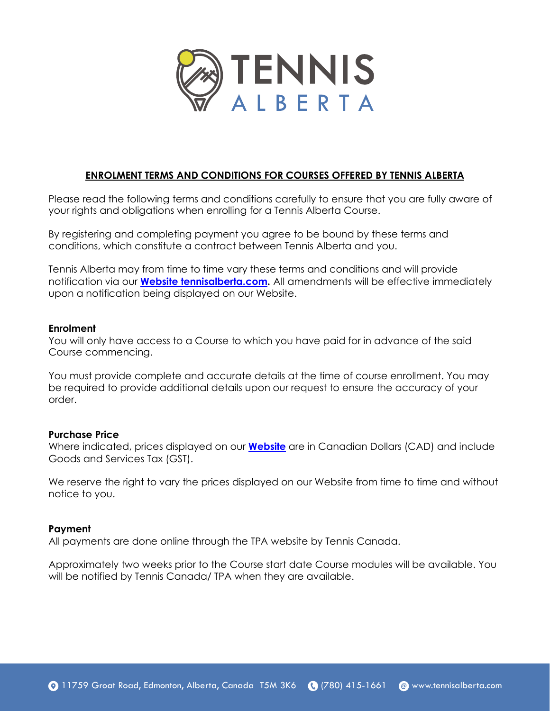

# **ENROLMENT TERMS AND CONDITIONS FOR COURSES OFFERED BY TENNIS ALBERTA**

Please read the following terms and conditions carefully to ensure that you are fully aware of your rights and obligations when enrolling for a Tennis Alberta Course.

By registering and completing payment you agree to be bound by these terms and conditions, which constitute a contract between Tennis Alberta and you.

**ENFOLMENTTERMS AND CONDITIONS FOR COURSES OFFERED BY TENNIS ALBERTA**<br>
Case read the following terms and conditions carefully to ensure that you are trumplets and obligations when entrolling for a Termst Alberta Counte,<br> Tennis Alberta may from time to time vary these terms and conditions and will provide notification via our **Website tennisalberta.com.** All amendments will be effective immediately upon a notification being displayed on our Website.

### **Enrolment**

You will only have access to a Course to which you have paid for in advance of the said Course commencing.

You must provide complete and accurate details at the time of course enrollment. You may be required to provide additional details upon our request to ensure the accuracy of your order.

### **Purchase Price**

Where indicated, prices displayed on our **[Website](http://tennisalberta.com/)** are in Canadian Dollars (CAD) and include Goods and Services Tax (GST).

We reserve the right to vary the prices displayed on our Website from time to time and without notice to you.

### **Payment**

All payments are done online through the TPA website by Tennis Canada.

Approximately two weeks prior to the Course start date Course modules will be available. You will be notified by Tennis Canada/ TPA when they are available.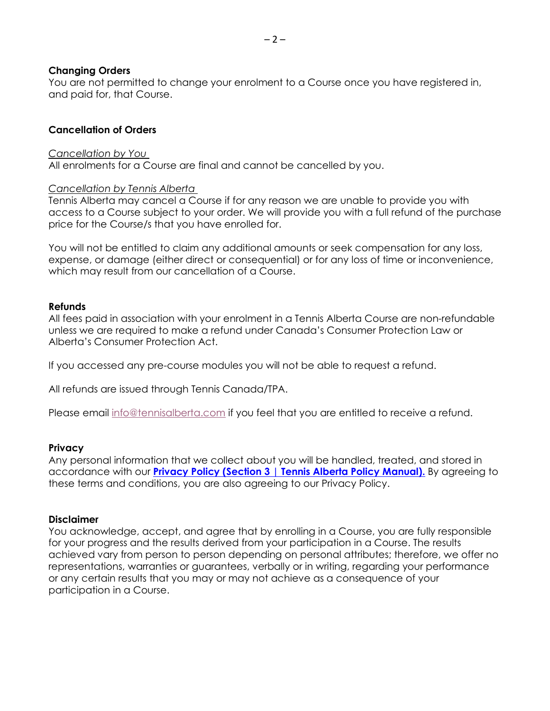### **Changing Orders**

You are not permitted to change your enrolment to a Course once you have registered in, and paid for, that Course.

### **Cancellation of Orders**

### *Cancellation by You*

All enrolments for a Course are final and cannot be cancelled by you.

### *Cancellation by Tennis Alberta*

Tennis Alberta may cancel a Course if for any reason we are unable to provide you with access to a Course subject to your order. We will provide you with a full refund of the purchase price for the Course/s that you have enrolled for.

You will not be entitled to claim any additional amounts or seek compensation for any loss, expense, or damage (either direct or consequential) or for any loss of time or inconvenience, which may result from our cancellation of a Course.

### **Refunds**

All fees paid in association with your enrolment in a Tennis Alberta Course are non-refundable unless we are required to make a refund under Canada's Consumer Protection Law or Alberta's Consumer Protection Act.

If you accessed any pre-course modules you will not be able to request a refund.

All refunds are issued through Tennis Canada/TPA.

Please email [info@tennisalberta.com](mailto:info@tennisalberta.com) if you feel that you are entitled to receive a refund.

### **Privacy**

Any personal information that we collect about you will be handled, treated, and stored in accordance with our **Privacy Policy (Section 3 | Tennis Alberta Policy [Manual\).](http://tennisalberta.com/wp-content/uploads/2019/07/TA_PolicyManual_2019July.pdf)** By agreeing to these terms and conditions, you are also agreeing to our Privacy Policy.

### **Disclaimer**

You acknowledge, accept, and agree that by enrolling in a Course, you are fully responsible for your progress and the results derived from your participation in a Course. The results achieved vary from person to person depending on personal attributes; therefore, we offer no representations, warranties or guarantees, verbally or in writing, regarding your performance or any certain results that you may or may not achieve as a consequence of your participation in a Course.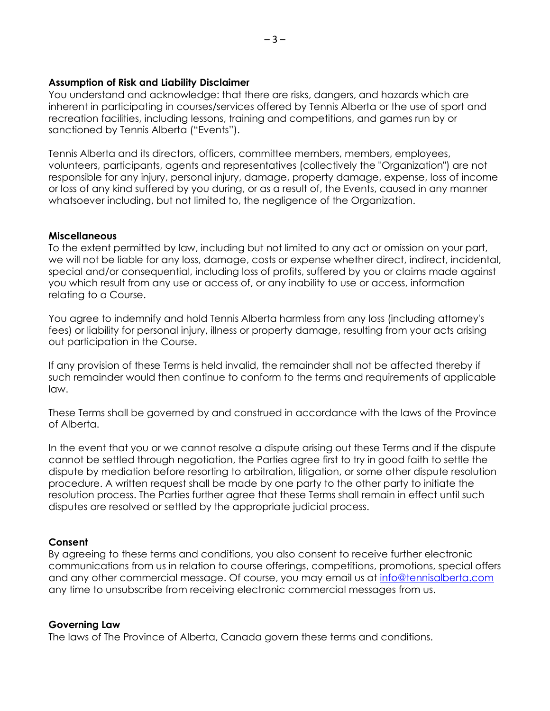### **Assumption of Risk and Liability Disclaimer**

You understand and acknowledge: that there are risks, dangers, and hazards which are inherent in participating in courses/services offered by Tennis Alberta or the use of sport and recreation facilities, including lessons, training and competitions, and games run by or sanctioned by Tennis Alberta ("Events").

Tennis Alberta and its directors, officers, committee members, members, employees, volunteers, participants, agents and representatives (collectively the "Organization") are not responsible for any injury, personal injury, damage, property damage, expense, loss of income or loss of any kind suffered by you during, or as a result of, the Events, caused in any manner whatsoever including, but not limited to, the negligence of the Organization.

### **Miscellaneous**

To the extent permitted by law, including but not limited to any act or omission on your part, we will not be liable for any loss, damage, costs or expense whether direct, indirect, incidental, special and/or consequential, including loss of profits, suffered by you or claims made against you which result from any use or access of, or any inability to use or access, information relating to a Course.

You agree to indemnify and hold Tennis Alberta harmless from any loss (including attorney's fees) or liability for personal injury, illness or property damage, resulting from your acts arising out participation in the Course.

If any provision of these Terms is held invalid, the remainder shall not be affected thereby if such remainder would then continue to conform to the terms and requirements of applicable law.

These Terms shall be governed by and construed in accordance with the laws of the Province of Alberta.

In the event that you or we cannot resolve a dispute arising out these Terms and if the dispute cannot be settled through negotiation, the Parties agree first to try in good faith to settle the dispute by mediation before resorting to arbitration, litigation, or some other dispute resolution procedure. A written request shall be made by one party to the other party to initiate the resolution process. The Parties further agree that these Terms shall remain in effect until such disputes are resolved or settled by the appropriate judicial process.

## **Consent**

By agreeing to these terms and conditions, you also consent to receive further electronic communications from us in relation to course offerings, competitions, promotions, special offers and any other commercial message. Of course, you may email us at [info@tennisalberta.com](mailto:info@tennisalberta.com) any time to unsubscribe from receiving electronic commercial messages from us.

### **Governing Law**

The laws of The Province of Alberta, Canada govern these terms and conditions.